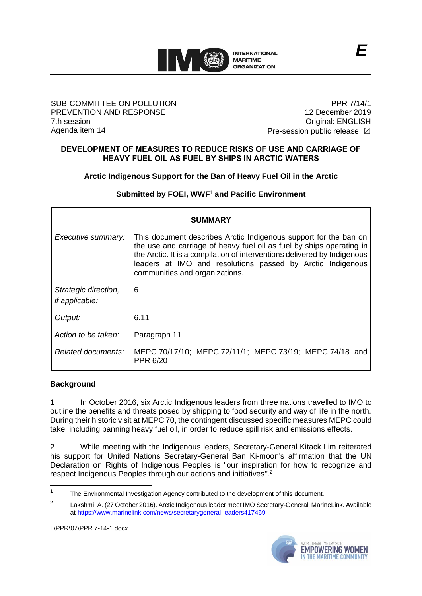

#### SUB-COMMITTEE ON POLLUTION PREVENTION AND RESPONSE 7th session Agenda item 14

PPR 7/14/1 12 December 2019 Original: ENGLISH Pre-session public release:  $\boxtimes$ 

### **DEVELOPMENT OF MEASURES TO REDUCE RISKS OF USE AND CARRIAGE OF HEAVY FUEL OIL AS FUEL BY SHIPS IN ARCTIC WATERS**

**Arctic Indigenous Support for the Ban of Heavy Fuel Oil in the Arctic**

**Submitted by FOEI, WWF**<sup>1</sup> **and Pacific Environment**

| <b>SUMMARY</b>                                |                                                                                                                                                                                                                                                                                                                      |
|-----------------------------------------------|----------------------------------------------------------------------------------------------------------------------------------------------------------------------------------------------------------------------------------------------------------------------------------------------------------------------|
| Executive summary:                            | This document describes Arctic Indigenous support for the ban on<br>the use and carriage of heavy fuel oil as fuel by ships operating in<br>the Arctic. It is a compilation of interventions delivered by Indigenous<br>leaders at IMO and resolutions passed by Arctic Indigenous<br>communities and organizations. |
| Strategic direction,<br><i>if applicable:</i> | 6                                                                                                                                                                                                                                                                                                                    |
| Output:                                       | 6.11                                                                                                                                                                                                                                                                                                                 |
| Action to be taken:                           | Paragraph 11                                                                                                                                                                                                                                                                                                         |
| Related documents:                            | MEPC 70/17/10; MEPC 72/11/1; MEPC 73/19; MEPC 74/18 and<br>PPR 6/20                                                                                                                                                                                                                                                  |

# **Background**

1 In October 2016, six Arctic Indigenous leaders from three nations travelled to IMO to outline the benefits and threats posed by shipping to food security and way of life in the north. During their historic visit at MEPC 70, the contingent discussed specific measures MEPC could take, including banning heavy fuel oil, in order to reduce spill risk and emissions effects.

2 While meeting with the Indigenous leaders, Secretary-General Kitack Lim reiterated his support for United Nations Secretary-General Ban Ki-moon's affirmation that the UN Declaration on Rights of Indigenous Peoples is "our inspiration for how to recognize and respect Indigenous Peoples through our actions and initiatives".<sup>2</sup>

I:\PPR\07\PPR 7-14-1.docx



<sup>&</sup>lt;sup>1</sup> The Environmental Investigation Agency contributed to the development of this document.

<sup>2</sup> Lakshmi, A. (27 October 2016). Arctic Indigenous leader meet IMO Secretary-General. MarineLink. Available at<https://www.marinelink.com/news/secretarygeneral-leaders417469>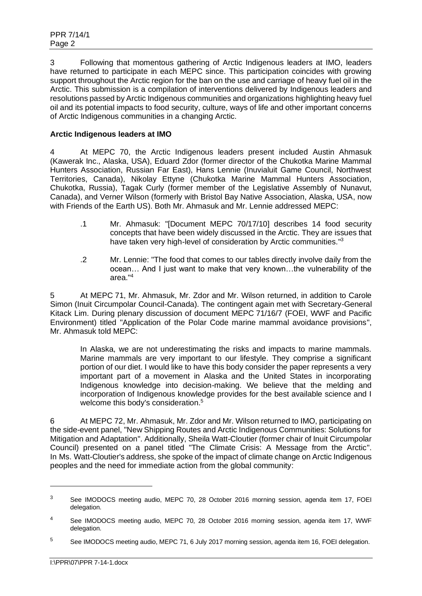3 Following that momentous gathering of Arctic Indigenous leaders at IMO, leaders have returned to participate in each MEPC since. This participation coincides with growing support throughout the Arctic region for the ban on the use and carriage of heavy fuel oil in the Arctic. This submission is a compilation of interventions delivered by Indigenous leaders and resolutions passed by Arctic Indigenous communities and organizations highlighting heavy fuel oil and its potential impacts to food security, culture, ways of life and other important concerns of Arctic Indigenous communities in a changing Arctic.

## **Arctic Indigenous leaders at IMO**

4 At MEPC 70, the Arctic Indigenous leaders present included Austin Ahmasuk (Kawerak Inc., Alaska, USA), Eduard Zdor (former director of the Chukotka Marine Mammal Hunters Association, Russian Far East), Hans Lennie (Inuvialuit Game Council, Northwest Territories, Canada), Nikolay Ettyne (Chukotka Marine Mammal Hunters Association, Chukotka, Russia), Tagak Curly (former member of the Legislative Assembly of Nunavut, Canada), and Verner Wilson (formerly with Bristol Bay Native Association, Alaska, USA, now with Friends of the Earth US). Both Mr. Ahmasuk and Mr. Lennie addressed MEPC:

- .1 Mr. Ahmasuk: "[Document MEPC 70/17/10] describes 14 food security concepts that have been widely discussed in the Arctic. They are issues that have taken very high-level of consideration by Arctic communities."3
- .2 Mr. Lennie: "The food that comes to our tables directly involve daily from the ocean… And I just want to make that very known…the vulnerability of the area." 4

5 At MEPC 71, Mr. Ahmasuk, Mr. Zdor and Mr. Wilson returned, in addition to Carole Simon (Inuit Circumpolar Council-Canada). The contingent again met with Secretary-General Kitack Lim. During plenary discussion of document MEPC 71/16/7 (FOEI, WWF and Pacific Environment) titled "Application of the Polar Code marine mammal avoidance provisions", Mr. Ahmasuk told MEPC:

In Alaska, we are not underestimating the risks and impacts to marine mammals. Marine mammals are very important to our lifestyle. They comprise a significant portion of our diet. I would like to have this body consider the paper represents a very important part of a movement in Alaska and the United States in incorporating Indigenous knowledge into decision-making. We believe that the melding and incorporation of Indigenous knowledge provides for the best available science and I welcome this body's consideration.<sup>5</sup>

6 At MEPC 72, Mr. Ahmasuk, Mr. Zdor and Mr. Wilson returned to IMO, participating on the side-event panel, "New Shipping Routes and Arctic Indigenous Communities: Solutions for Mitigation and Adaptation". Additionally, Sheila Watt-Cloutier (former chair of Inuit Circumpolar Council) presented on a panel titled "The Climate Crisis: A Message from the Arctic". In Ms. Watt-Cloutier's address, she spoke of the impact of climate change on Arctic Indigenous peoples and the need for immediate action from the global community:

<sup>&</sup>lt;sup>3</sup> See IMODOCS meeting audio, MEPC 70, 28 October 2016 morning session, agenda item 17, FOEI delegation.

<sup>4</sup> See IMODOCS meeting audio, MEPC 70, 28 October 2016 morning session, agenda item 17, WWF delegation.

<sup>&</sup>lt;sup>5</sup> See IMODOCS meeting audio, MEPC 71, 6 July 2017 morning session, agenda item 16, FOEI delegation.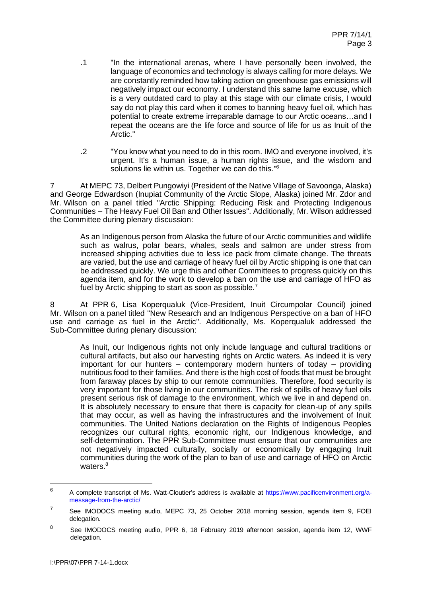- .1 "In the international arenas, where I have personally been involved, the language of economics and technology is always calling for more delays. We are constantly reminded how taking action on greenhouse gas emissions will negatively impact our economy. I understand this same lame excuse, which is a very outdated card to play at this stage with our climate crisis, I would say do not play this card when it comes to banning heavy fuel oil, which has potential to create extreme irreparable damage to our Arctic oceans…and I repeat the oceans are the life force and source of life for us as Inuit of the Arctic."
- .2 "You know what you need to do in this room. IMO and everyone involved, it's urgent. It's a human issue, a human rights issue, and the wisdom and solutions lie within us. Together we can do this."<sup>6</sup>

7 At MEPC 73, Delbert Pungowiyi (President of the Native Village of Savoonga, Alaska) and George Edwardson (Inupiat Community of the Arctic Slope, Alaska) joined Mr. Zdor and Mr. Wilson on a panel titled "Arctic Shipping: Reducing Risk and Protecting Indigenous Communities – The Heavy Fuel Oil Ban and Other Issues". Additionally, Mr. Wilson addressed the Committee during plenary discussion:

As an Indigenous person from Alaska the future of our Arctic communities and wildlife such as walrus, polar bears, whales, seals and salmon are under stress from increased shipping activities due to less ice pack from climate change. The threats are varied, but the use and carriage of heavy fuel oil by Arctic shipping is one that can be addressed quickly. We urge this and other Committees to progress quickly on this agenda item, and for the work to develop a ban on the use and carriage of HFO as fuel by Arctic shipping to start as soon as possible.<sup>7</sup>

8 At PPR 6, Lisa Koperqualuk (Vice-President, Inuit Circumpolar Council) joined Mr. Wilson on a panel titled "New Research and an Indigenous Perspective on a ban of HFO use and carriage as fuel in the Arctic". Additionally, Ms. Koperqualuk addressed the Sub-Committee during plenary discussion:

As Inuit, our Indigenous rights not only include language and cultural traditions or cultural artifacts, but also our harvesting rights on Arctic waters. As indeed it is very important for our hunters – contemporary modern hunters of today – providing nutritious food to their families. And there is the high cost of foods that must be brought from faraway places by ship to our remote communities. Therefore, food security is very important for those living in our communities. The risk of spills of heavy fuel oils present serious risk of damage to the environment, which we live in and depend on. It is absolutely necessary to ensure that there is capacity for clean-up of any spills that may occur, as well as having the infrastructures and the involvement of Inuit communities. The United Nations declaration on the Rights of Indigenous Peoples recognizes our cultural rights, economic right, our Indigenous knowledge, and self-determination. The PPR Sub-Committee must ensure that our communities are not negatively impacted culturally, socially or economically by engaging Inuit communities during the work of the plan to ban of use and carriage of HFO on Arctic waters.<sup>8</sup>

<sup>6</sup> A complete transcript of Ms. Watt-Cloutier's address is available at [https://www.pacificenvironment.org/a](https://www.pacificenvironment.org/a-message-from-the-arctic/)[message-from-the-arctic/](https://www.pacificenvironment.org/a-message-from-the-arctic/)

<sup>&</sup>lt;sup>7</sup> See IMODOCS meeting audio, MEPC 73, 25 October 2018 morning session, agenda item 9, FOEI delegation.

<sup>&</sup>lt;sup>8</sup> See IMODOCS meeting audio, PPR 6, 18 February 2019 afternoon session, agenda item 12, WWF delegation.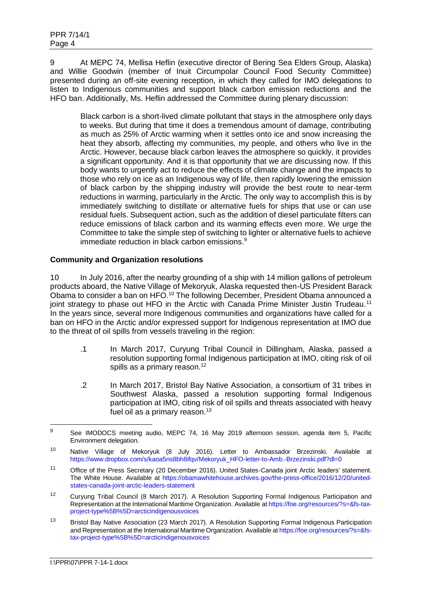9 At MEPC 74, Mellisa Heflin (executive director of Bering Sea Elders Group, Alaska) and Willie Goodwin (member of Inuit Circumpolar Council Food Security Committee) presented during an off-site evening reception, in which they called for IMO delegations to listen to Indigenous communities and support black carbon emission reductions and the HFO ban. Additionally, Ms. Heflin addressed the Committee during plenary discussion:

Black carbon is a short-lived climate pollutant that stays in the atmosphere only days to weeks. But during that time it does a tremendous amount of damage, contributing as much as 25% of Arctic warming when it settles onto ice and snow increasing the heat they absorb, affecting my communities, my people, and others who live in the Arctic. However, because black carbon leaves the atmosphere so quickly, it provides a significant opportunity. And it is that opportunity that we are discussing now. If this body wants to urgently act to reduce the effects of climate change and the impacts to those who rely on ice as an Indigenous way of life, then rapidly lowering the emission of black carbon by the shipping industry will provide the best route to near-term reductions in warming, particularly in the Arctic. The only way to accomplish this is by immediately switching to distillate or alternative fuels for ships that use or can use residual fuels. Subsequent action, such as the addition of diesel particulate filters can reduce emissions of black carbon and its warming effects even more. We urge the Committee to take the simple step of switching to lighter or alternative fuels to achieve immediate reduction in black carbon emissions.<sup>9</sup>

### **Community and Organization resolutions**

10 In July 2016, after the nearby grounding of a ship with 14 million gallons of petroleum products aboard, the Native Village of Mekoryuk, Alaska requested then-US President Barack Obama to consider a ban on HFO.<sup>10</sup> The following December, President Obama announced a joint strategy to phase out HFO in the Arctic with Canada Prime Minister Justin Trudeau.<sup>11</sup> In the years since, several more Indigenous communities and organizations have called for a ban on HFO in the Arctic and/or expressed support for Indigenous representation at IMO due to the threat of oil spills from vessels traveling in the region:

- .1 In March 2017, Curyung Tribal Council in Dillingham, Alaska, passed a resolution supporting formal Indigenous participation at IMO, citing risk of oil spills as a primary reason.<sup>12</sup>
- .2 In March 2017, Bristol Bay Native Association, a consortium of 31 tribes in Southwest Alaska, passed a resolution supporting formal Indigenous participation at IMO, citing risk of oil spills and threats associated with heavy fuel oil as a primary reason. $13$

<sup>9</sup> See IMODOCS meeting audio, MEPC 74, 16 May 2019 afternoon session, agenda item 5, Pacific Environment delegation.

<sup>10</sup> Native Village of Mekoryuk (8 July 2016). Letter to Ambassador Brzezinski. Available at [https://www.dropbox.com/s/kaoa5ns8bh8ifqv/Mekoryuk\\_HFO-letter-to-Amb.-Brzezinski.pdf?dl=0](https://www.dropbox.com/s/kaoa5ns8bh8ifqv/Mekoryuk_HFO-letter-to-Amb.-Brzezinski.pdf?dl=0)

<sup>11</sup> Office of the Press Secretary (20 December 2016). United States-Canada joint Arctic leaders' statement. The White House. Available at [https://obamawhitehouse.archives.gov/the-press-office/2016/12/20/united](https://obamawhitehouse.archives.gov/the-press-office/2016/12/20/united-states-canada-joint-arctic-leaders-statement)[states-canada-joint-arctic-leaders-statement](https://obamawhitehouse.archives.gov/the-press-office/2016/12/20/united-states-canada-joint-arctic-leaders-statement)

<sup>&</sup>lt;sup>12</sup> Curyung Tribal Council (8 March 2017). A Resolution Supporting Formal Indigenous Participation and Representation at the International Maritime Organization. Available a[t https://foe.org/resources/?s=&fs-tax](https://foe.org/resources/?s=&fs-tax-project-type%5B%5D=arcticindigenousvoices)[project-type%5B%5D=arcticindigenousvoices](https://foe.org/resources/?s=&fs-tax-project-type%5B%5D=arcticindigenousvoices)

<sup>&</sup>lt;sup>13</sup> Bristol Bay Native Association (23 March 2017). A Resolution Supporting Formal Indigenous Participation and Representation at the International Maritime Organization. Available a[t https://foe.org/resources/?s=&fs](https://foe.org/resources/?s=&fs-tax-project-type%5B%5D=arcticindigenousvoices)[tax-project-type%5B%5D=arcticindigenousvoices](https://foe.org/resources/?s=&fs-tax-project-type%5B%5D=arcticindigenousvoices)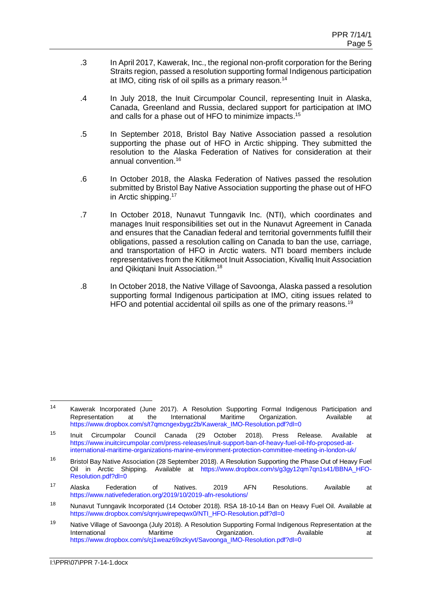- .3 In April 2017, Kawerak, Inc., the regional non-profit corporation for the Bering Straits region, passed a resolution supporting formal Indigenous participation at IMO, citing risk of oil spills as a primary reason.<sup>14</sup>
- .4 In July 2018, the Inuit Circumpolar Council, representing Inuit in Alaska, Canada, Greenland and Russia, declared support for participation at IMO and calls for a phase out of HFO to minimize impacts.<sup>15</sup>
- .5 In September 2018, Bristol Bay Native Association passed a resolution supporting the phase out of HFO in Arctic shipping. They submitted the resolution to the Alaska Federation of Natives for consideration at their annual convention.<sup>16</sup>
- .6 In October 2018, the Alaska Federation of Natives passed the resolution submitted by Bristol Bay Native Association supporting the phase out of HFO in Arctic shipping.<sup>17</sup>
- .7 In October 2018, Nunavut Tunngavik Inc. (NTI), which coordinates and manages Inuit responsibilities set out in the Nunavut Agreement in Canada and ensures that the Canadian federal and territorial governments fulfill their obligations, passed a resolution calling on Canada to ban the use, carriage, and transportation of HFO in Arctic waters. NTI board members include representatives from the Kitikmeot Inuit Association, Kivalliq Inuit Association and Qikiqtani Inuit Association.<sup>18</sup>
- .8 In October 2018, the Native Village of Savoonga, Alaska passed a resolution supporting formal Indigenous participation at IMO, citing issues related to HFO and potential accidental oil spills as one of the primary reasons.<sup>19</sup>

<sup>14</sup> Kawerak Incorporated (June 2017). A Resolution Supporting Formal Indigenous Participation and Representation at the International Maritime Organization. Available at [https://www.dropbox.com/s/t7qmcngexbygz2b/Kawerak\\_IMO-Resolution.pdf?dl=0](https://www.dropbox.com/s/t7qmcngexbygz2b/Kawerak_IMO-Resolution.pdf?dl=0)

<sup>15</sup> Inuit Circumpolar Council Canada (29 October 2018). Press Release. Available at [https://www.inuitcircumpolar.com/press-releases/inuit-support-ban-of-heavy-fuel-oil-hfo-proposed-at](https://www.inuitcircumpolar.com/press-releases/inuit-support-ban-of-heavy-fuel-oil-hfo-proposed-at-international-maritime-organizations-marine-environment-protection-committee-meeting-in-london-uk/)[international-maritime-organizations-marine-environment-protection-committee-meeting-in-london-uk/](https://www.inuitcircumpolar.com/press-releases/inuit-support-ban-of-heavy-fuel-oil-hfo-proposed-at-international-maritime-organizations-marine-environment-protection-committee-meeting-in-london-uk/)

<sup>&</sup>lt;sup>16</sup> Bristol Bay Native Association (28 September 2018). A Resolution Supporting the Phase Out of Heavy Fuel Oil in Arctic Shipping. Available at [https://www.dropbox.com/s/g3gy12qm7qn1s41/BBNA\\_HFO-](https://www.dropbox.com/s/g3gy12qm7qn1s41/BBNA_HFO-Resolution.pdf?dl=0)[Resolution.pdf?dl=0](https://www.dropbox.com/s/g3gy12qm7qn1s41/BBNA_HFO-Resolution.pdf?dl=0)

<sup>&</sup>lt;sup>17</sup> Alaska Federation of Natives. 2019 AFN Resolutions. Available at <https://www.nativefederation.org/2019/10/2019-afn-resolutions/>

<sup>&</sup>lt;sup>18</sup> Nunavut Tunngavik Incorporated (14 October 2018). RSA 18-10-14 Ban on Heavy Fuel Oil. Available at [https://www.dropbox.com/s/qnrjuwirepeqwx0/NTI\\_HFO-Resolution.pdf?dl=0](https://www.dropbox.com/s/qnrjuwirepeqwx0/NTI_HFO-Resolution.pdf?dl=0)

<sup>&</sup>lt;sup>19</sup> Native Village of Savoonga (July 2018). A Resolution Supporting Formal Indigenous Representation at the International **Maritime Companization.** Available at the Maritime of Available at [https://www.dropbox.com/s/cj1weaz69xzkyvt/Savoonga\\_IMO-Resolution.pdf?dl=0](https://www.dropbox.com/s/cj1weaz69xzkyvt/Savoonga_IMO-Resolution.pdf?dl=0)